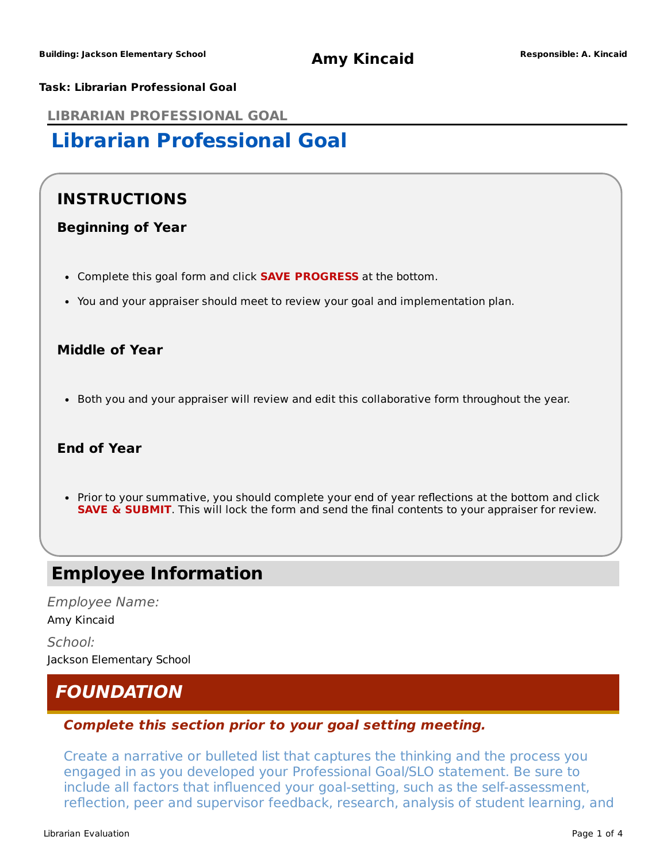#### **Task: Librarian Professional Goal**

**LIBRARIAN PROFESSIONAL GOAL**

## **Librarian Professional Goal**

### **INSTRUCTIONS**

### **Beginning of Year**

- Complete this goal form and click **SAVE PROGRESS** at the bottom.
- You and your appraiser should meet to review your goal and implementation plan.

### **Middle of Year**

• Both you and your appraiser will review and edit this collaborative form throughout the year.

#### **End of Year**

• Prior to your summative, you should complete your end of year reflections at the bottom and click **SAVE & SUBMIT**. This will lock the form and send the final contents to your appraiser for review.

### **Employee Information**

Employee Name: Amy Kincaid School: Jackson Elementary School

### **FOUNDATION**

#### **Complete this section prior to your goal setting meeting.**

Create a narrative or bulleted list that captures the thinking and the process you engaged in as you developed your Professional Goal/SLO statement. Be sure to include all factors that influenced your goal-setting, such as the self-assessment, reflection, peer and supervisor feedback, research, analysis of student learning, and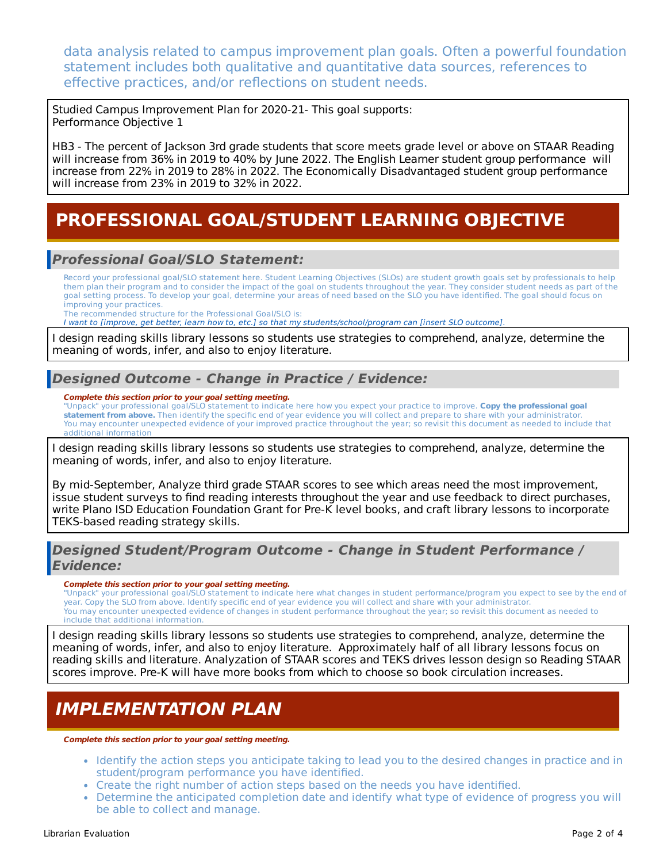data analysis related to campus improvement plan goals. Often a powerful foundation statement includes both qualitative and quantitative data sources, references to effective practices, and/or reflections on student needs.

Studied Campus Improvement Plan for 2020-21- This goal supports: Performance Objective 1

HB3 - The percent of Jackson 3rd grade students that score meets grade level or above on STAAR Reading will increase from 36% in 2019 to 40% by June 2022. The English Learner student group performance will increase from 22% in 2019 to 28% in 2022. The Economically Disadvantaged student group performance will increase from 23% in 2019 to 32% in 2022.

## **PROFESSIONAL GOAL/STUDENT LEARNING OBJECTIVE**

### **Professional Goal/SLO Statement:**

Record your professional goal/SLO statement here. Student Learning Objectives (SLOs) are student growth goals set by professionals to help them plan their program and to consider the impact of the goal on students throughout the year. They consider student needs as part of the goal setting process. To develop your goal, determine your areas of need based on the SLO you have identified. The goal should focus on improving your practices.

The recommended structure for the Professional Goal/SLO is:

I want to [improve, get better, learn how to, etc.] so that my students/school/program can [insert SLO outcome].

I design reading skills library lessons so students use strategies to comprehend, analyze, determine the meaning of words, infer, and also to enjoy literature.

### **Designed Outcome - Change in Practice / Evidence:**

**Complete this section prior to your goal setting meeting.**

"Unpack" your professional goal/SLO statement to indicate here how you expect your practice to improve. **Copy the professional goal statement from above.** Then identify the specific end of year evidence you will collect and prepare to share with your administrator. You may encounter unexpected evidence of your improved practice throughout the year; so revisit this document as needed to include that additional information

I design reading skills library lessons so students use strategies to comprehend, analyze, determine the meaning of words, infer, and also to enjoy literature.

By mid-September, Analyze third grade STAAR scores to see which areas need the most improvement, issue student surveys to find reading interests throughout the year and use feedback to direct purchases, write Plano ISD Education Foundation Grant for Pre-K level books, and craft library lessons to incorporate TEKS-based reading strategy skills.

#### **Designed Student/Program Outcome - Change in Student Performance / Evidence:**

#### **Complete this section prior to your goal setting meeting.**

"Unpack" your professional goal/SLO statement to indicate here what changes in student performance/program you expect to see by the end of year. Copy the SLO from above. Identify specific end of year evidence you will collect and share with your administrator. You may encounter unexpected evidence of changes in student performance throughout the year; so revisit this document as needed to include that additional information.

I design reading skills library lessons so students use strategies to comprehend, analyze, determine the meaning of words, infer, and also to enjoy literature. Approximately half of all library lessons focus on reading skills and literature. Analyzation of STAAR scores and TEKS drives lesson design so Reading STAAR scores improve. Pre-K will have more books from which to choose so book circulation increases.

### **IMPLEMENTATION PLAN**

**Complete this section prior to your goal setting meeting.**

- Identify the action steps you anticipate taking to lead you to the desired changes in practice and in student/program performance you have identified.
- Create the right number of action steps based on the needs you have identified.
- Determine the anticipated completion date and identify what type of evidence of progress you will be able to collect and manage.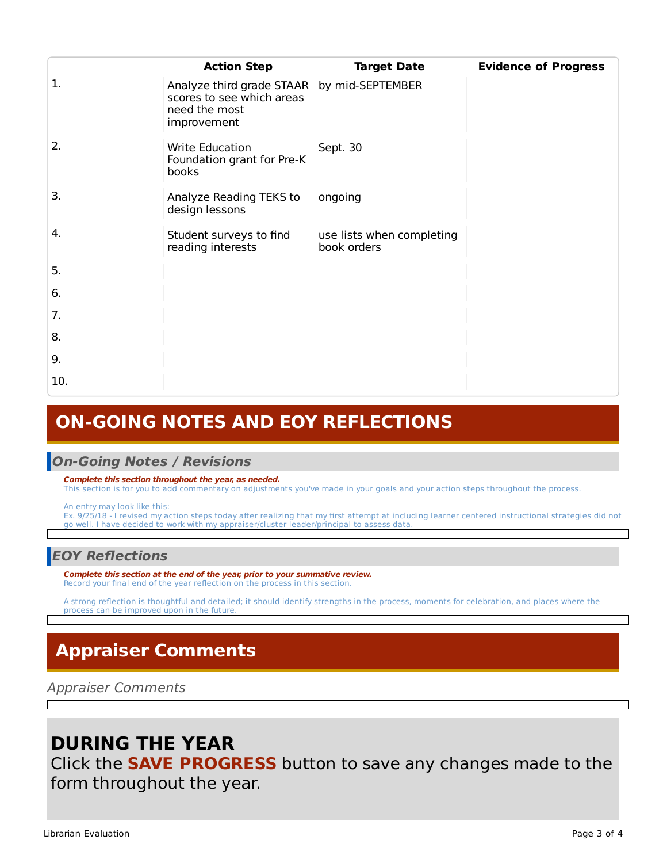|     | <b>Action Step</b>                                                                     | <b>Target Date</b>                       | <b>Evidence of Progress</b> |
|-----|----------------------------------------------------------------------------------------|------------------------------------------|-----------------------------|
| 1.  | Analyze third grade STAAR<br>scores to see which areas<br>need the most<br>improvement | by mid-SEPTEMBER                         |                             |
| 2.  | <b>Write Education</b><br>Foundation grant for Pre-K<br>books                          | Sept. 30                                 |                             |
| 3.  | Analyze Reading TEKS to<br>design lessons                                              | ongoing                                  |                             |
| 4.  | Student surveys to find<br>reading interests                                           | use lists when completing<br>book orders |                             |
| 5.  |                                                                                        |                                          |                             |
| 6.  |                                                                                        |                                          |                             |
| 7.  |                                                                                        |                                          |                             |
| 8.  |                                                                                        |                                          |                             |
| 9.  |                                                                                        |                                          |                             |
| 10. |                                                                                        |                                          |                             |

## **ON-GOING NOTES AND EOY REFLECTIONS**

#### **On-Going Notes / Revisions**

#### **Complete this section throughout the year, as needed.**

This section is for you to add commentary on adjustments you've made in your goals and your action steps throughout the process.

An entry may look like this:

Ex. 9/25/18 - I revised my action steps today after realizing that my first attempt at including learner centered instructional strategies did not go well. I have decided to work with my appraiser/cluster leader/principal to assess data.

### **EOY Reflections**

**Complete this section at the end of the year, prior to your summative review.** Record your final end of the year reflection on the process in this section.

A strong reflection is thoughtful and detailed; it should identify strengths in the process, moments for celebration, and places where the process can be improved upon in the future.

# **Appraiser Comments**

Appraiser Comments

## **DURING THE YEAR**

Click the **SAVE PROGRESS** button to save any changes made to the form throughout the year.